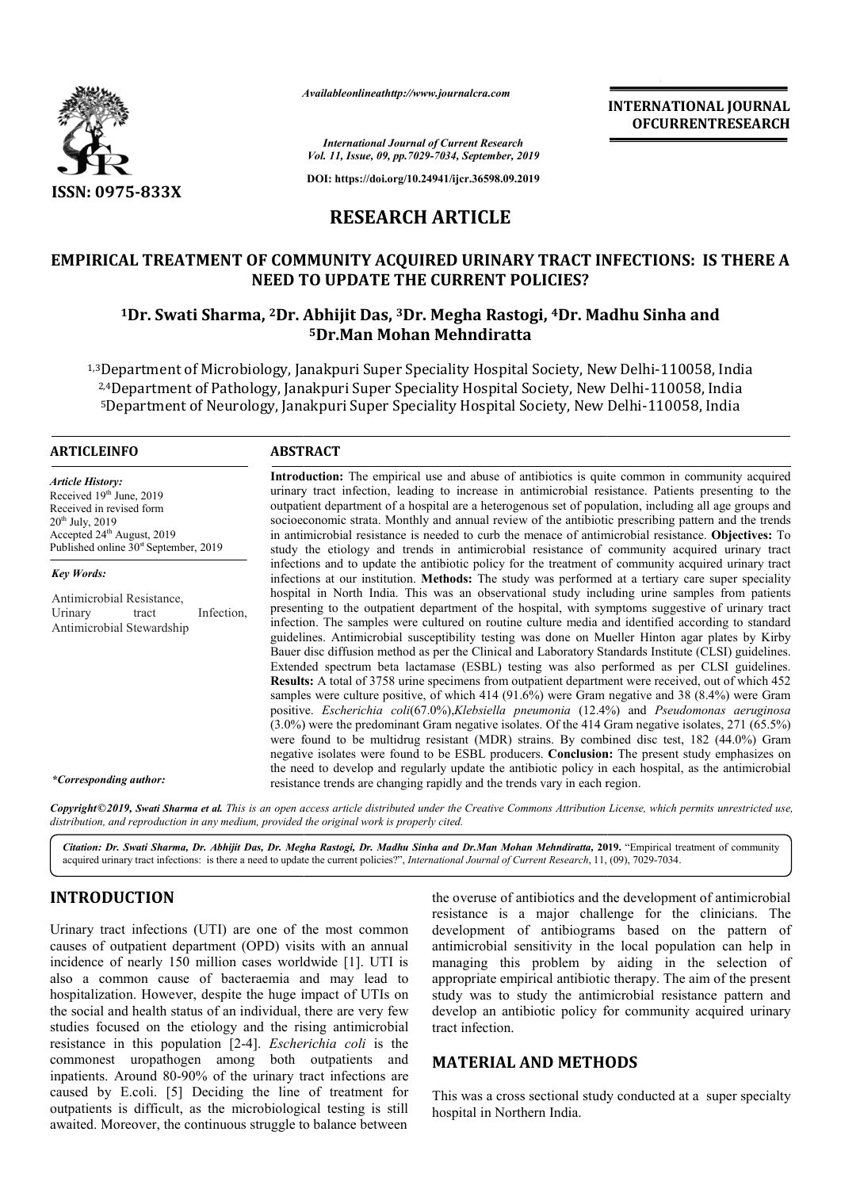

*Availableonlineathttp://www.journal Availableonlineathttp://www.journalcra.com*

*International Journal of Current Research Vol. 11, Issue, 09, pp.7029-7034, September, 2019*

**DOI: https://doi.org/10.24941/ijcr.36598.09.2019**

# **RESEARCH ARTICLE**

# EMPIRICAL TREATMENT OF COMMUNITY ACQUIRED URINARY TRACT INFECTIONS: IS THERE A<br>NEED TO UPDATE THE CURRENT POLICIES?<br><sup>1</sup>Dr. Swati Sharma, <sup>2</sup>Dr. Abhijit Das, <sup>3</sup>Dr. Megha Rastogi, <sup>4</sup>Dr. Madhu Sinha and **NEED TO UPDATE THE CURRENT POLICIES?**

# **1Dr. Swati Sharma, 2Dr. Abhijit Das, Dr. 3Dr. Megha Rastogi, 4Dr. Madhu Sinha and 5Dr.Man Mohan Mehndiratta**

<sup>1,3</sup>Department of Microbiology, Janakpuri Super Speciality Hospital Society, New Delhi-110058, India<br><sup>2,4</sup>Department of Pathology, Janakpuri Super Speciality Hospital Society, New Delhi-110058, India <sup>2,4</sup>Department of Pathology, Janakpuri Super Speciality Hospital Society, New Delhi-110058, India <sup>5</sup>Department of Neurology, Janakpuri Super Speciality Hospital Society, New Delhi-110058, India

#### **ARTICLEINFO ABSTRACT**

*Key Words:*

*Article History:* Received 19<sup>th</sup> June, 2019 Received in revised form  $20<sup>th</sup>$  July,  $2019$ Accepted 24<sup>th</sup> August, 2019 Published online  $30<sup>st</sup>$  September, 2019

Antimicrobial Resistance, Urinary tract Infection, Antimicrobial Stewardship

urinary tract infection, leading to increase in antimicrobial resistance. Patients presenting to the Introduction: The empirical use and abuse of antibiotics is quite common in community acquired urinary tract infection, leading to increase in antimicrobial resistance. Patients presenting to the outpatient department of a socioeconomic strata. Monthly and annual review of the antibiotic prescribing pattern and the trends socioeconomic strata. Monthly and annual review of the antibiotic prescribing pattern and the trends in antimicrobial resistance is needed to curb the menace of antimicrobial resistance. Objectives: To study the etiology and trends in antimicrobial resistance of community acquired urinary tract infections and to update the antibiotic policy for the treatment of community acquired urinary tract infections at our institution. **Methods:** The study was performed at a tertiary care sup hospital in North India. This was an observational study including urine samples from patients presenting to the outpatient department of the hospital, with symptoms suggestive of urinary tract infection. The samples were cultured on routine culture media and identified according to standard guidelines. Antimicrobial susceptibility testing was done on Mueller Hinton agar plates by Kirby Bauer disc diffusion method as per the Clinical and Laboratory Standards Institute (CLSI) guidelines. Extend Extended spectrum beta lactamase (ESBL) testing was also performed as per CLSI guidelines. **Results:** A total of 3758 urine specimens from outpatient department were received, out of which samples were culture positive, of which  $414$  ( $91.6\%$ ) were Gram negative and 38 (8.4%) were Gram positive. *Escherichia coli*(67.0%),*Klebsiella pneumonia* (12.4%) and *Pseudomonas aeruginosa*  (3.0%) were the predominant Gram negative isolates. Of the 414 Gram negative isolates, 271 (65.5%) were found to be multidrug resistant (MDR) strains. By combined disc test, 182 (44.0%) Gram negative isolates were found to be ESBL producers. **Conclusion:** The present study emphasizes on the need to develop and regularly update the antibiotic policy in each hospital, as the antimicrobial the need to develop and regularly update the antibiotic policy in each resistance trends are changing rapidly and the trends vary in each region. study the etiology and trends in antimicrobial resistance of community acquired urinary tract<br>infections and to update the antibiotic policy for the treatment of community acquired urinary tract<br>infections at our instituti hospital in North India. This was an observational study including urine samples from patients presenting to the outpatient department of the hospital, with symptoms suggestive of urinary tract infection. The samples were INTERNATIONAL JOURNAL<br>
OF CURRENTRESEARCH<br>
OF CURRENTRESEARCH<br>
Spin More 2019<br>
Spin More 2019<br>
Spin More 2019<br>
CICLE<br>
URINARY TRACT INFECTIONS: IS THERE A<br>
URINARY TRACT INFECTIONS: IS THERE A<br>
RENT POLICIES?<br>
IN A Rastog

**Introduction:**  The empirical use and abuse of antibiotics is quite common in community acquired

*\*Corresponding author:*

Copyright©2019, Swati Sharma et al. This is an open access article distributed under the Creative Commons Attribution License, which permits unrestricted use, *distribution, and reproduction in any medium, provided the original work is properly cited.*

*Citation: Dr. Swati Sharma, Dr. Abhijit Das, Dr. Megha Rastogi, Dr. Madhu Sinha and Dr.Man Mohan Mehndiratta,* **2019.** "Empirical treatment of community acquired urinary tract infections: is there a need to update the current policies?", *International Journal of Current Research*, 11, (09), 7029-7034.

# **INTRODUCTION**

Urinary tract infections (UTI) are one of the most common causes of outpatient department (OPD) visits with an annual incidence of nearly 150 million cases worldwide [1]. UTI is also a common cause of bacteraemia and may lead to hospitalization. However, despite the huge impact of UTIs on the social and health status of an individual, there are very few studies focused on the etiology and the rising antimicrobial resistance in this population [2-4]. *Escherichia coli* is the commonest uropathogen among both outpatients and inpatients. Around 80-90% of the urinary tract infections are caused by E.coli. [5] Deciding the line of treatment for outpatients is difficult, as the microbiological testing is stil awaited. Moreover, the continuous struggle to balance between 90% of the urinary tract infections are<br>| Deciding the line of treatment for<br>|, as the microbiological testing is still the overuse of antibiotics and the development of antimicrobial resistance is a major challenge for the clinicians. The development of antibiograms based on the pattern of antimicrobial sensitivity in the local population can help in managing this problem by aiding in the selection of appropriate empirical antibiotic therapy. The aim of the present study was to study the antimicrobial resistance pattern and develop an antibiotic policy for community acquired urinary tract infection. of antibiotics and the development of antimicrobial<br>is a major challenge for the clinicians. The<br>intident of antibiograms based on the pattern of<br>al sensitivity in the local population can help in<br>this problem by aiding in

## **MATERIAL AND METHODS**

This was a cross sectional study conducted at a super specialty hospital in Northern India.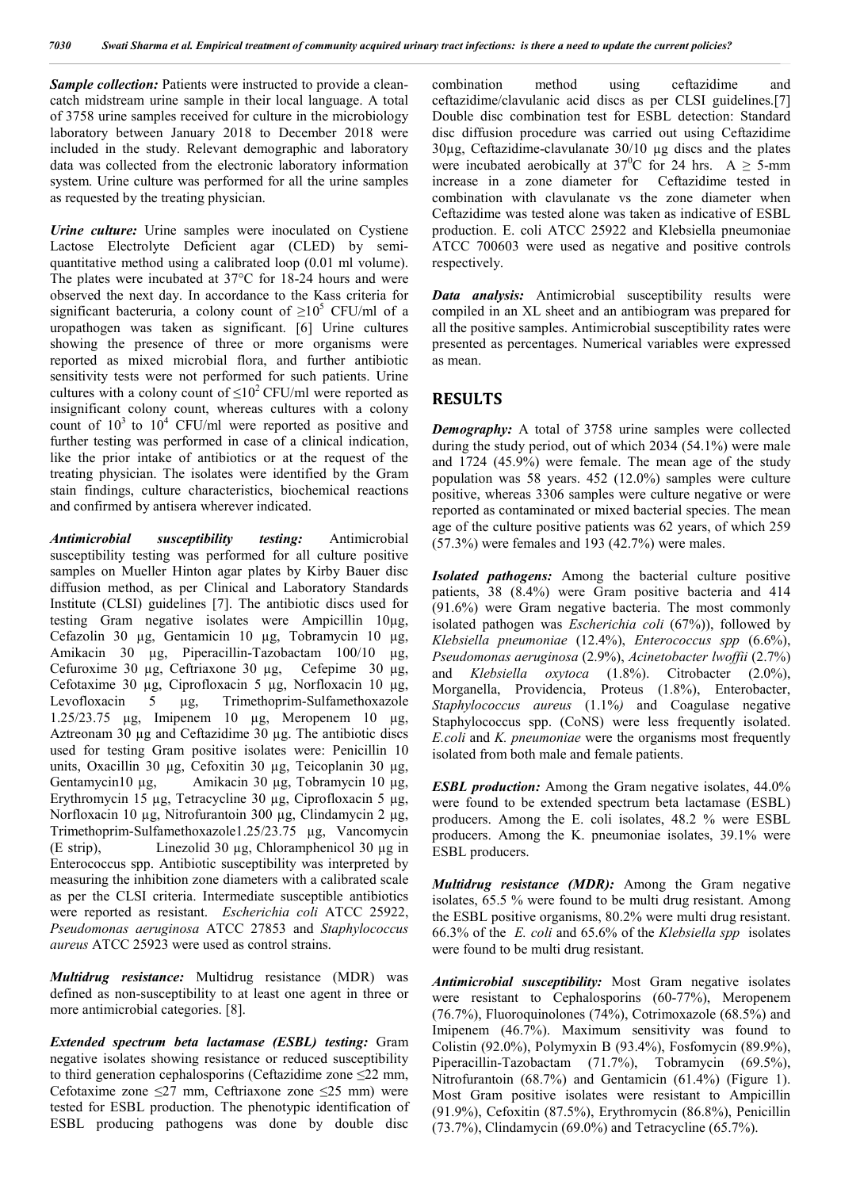*Sample collection:* Patients were instructed to provide a cleancatch midstream urine sample in their local language. A total of 3758 urine samples received for culture in the microbiology laboratory between January 2018 to December 2018 were included in the study. Relevant demographic and laboratory data was collected from the electronic laboratory information system. Urine culture was performed for all the urine samples as requested by the treating physician.

*Urine culture:* Urine samples were inoculated on Cystiene Lactose Electrolyte Deficient agar (CLED) by semiquantitative method using a calibrated loop (0.01 ml volume). The plates were incubated at 37°C for 18-24 hours and were observed the next day. In accordance to the Kass criteria for significant bacteruria, a colony count of  $\geq 10^5$  CFU/ml of a uropathogen was taken as significant. [6] Urine cultures showing the presence of three or more organisms were reported as mixed microbial flora, and further antibiotic sensitivity tests were not performed for such patients. Urine cultures with a colony count of  $\leq 10^2$  CFU/ml were reported as insignificant colony count, whereas cultures with a colony count of  $10^3$  to  $10^4$  CFU/ml were reported as positive and further testing was performed in case of a clinical indication, like the prior intake of antibiotics or at the request of the treating physician. The isolates were identified by the Gram stain findings, culture characteristics, biochemical reactions and confirmed by antisera wherever indicated.

*Antimicrobial susceptibility testing:* Antimicrobial susceptibility testing was performed for all culture positive samples on Mueller Hinton agar plates by Kirby Bauer disc diffusion method, as per Clinical and Laboratory Standards Institute (CLSI) guidelines [7]. The antibiotic discs used for testing Gram negative isolates were Ampicillin 10µg, Cefazolin 30 µg, Gentamicin 10 µg, Tobramycin 10 µg, Amikacin 30 µg, Piperacillin-Tazobactam 100/10 µg, Cefuroxime 30 µg, Ceftriaxone 30 µg, Cefepime 30 µg, Cefotaxime 30 µg, Ciprofloxacin 5 µg, Norfloxacin 10 µg, Levofloxacin 5 µg, Trimethoprim-Sulfamethoxazole 1.25/23.75 μg, Imipenem 10 µg, Meropenem 10 µg, Aztreonam 30 µg and Ceftazidime 30 µg. The antibiotic discs used for testing Gram positive isolates were: Penicillin 10 units, Oxacillin 30 µg, Cefoxitin 30 µg, Teicoplanin 30 µg, Gentamycin 10 µg, Amikacin 30 µg, Tobramycin 10 µg, Amikacin 30 µg, Tobramycin 10 µg, Erythromycin 15 µg, Tetracycline 30 µg, Ciprofloxacin 5 µg, Norfloxacin 10 µg, Nitrofurantoin 300 µg, Clindamycin 2 µg, Trimethoprim-Sulfamethoxazole1.25/23.75 µg, Vancomycin (E strip), Linezolid 30 µg, Chloramphenicol 30 µg in Enterococcus spp. Antibiotic susceptibility was interpreted by measuring the inhibition zone diameters with a calibrated scale as per the CLSI criteria. Intermediate susceptible antibiotics were reported as resistant. *Escherichia coli* ATCC 25922, *Pseudomonas aeruginosa* ATCC 27853 and *Staphylococcus aureus* ATCC 25923 were used as control strains.

*Multidrug resistance:* Multidrug resistance (MDR) was defined as non-susceptibility to at least one agent in three or more antimicrobial categories. [8].

*Extended spectrum beta lactamase (ESBL) testing:* Gram negative isolates showing resistance or reduced susceptibility to third generation cephalosporins (Ceftazidime zone  $\leq$ 22 mm, Cefotaxime zone ≤27 mm, Ceftriaxone zone ≤25 mm) were tested for ESBL production. The phenotypic identification of ESBL producing pathogens was done by double disc

combination method using ceftazidime and ceftazidime/clavulanic acid discs as per CLSI guidelines.[7] Double disc combination test for ESBL detection: Standard disc diffusion procedure was carried out using Ceftazidime 30µg, Ceftazidime-clavulanate 30/10 µg discs and the plates were incubated aerobically at 37<sup>0</sup>C for 24 hrs. A  $\geq$  5-mm increase in a zone diameter for Ceftazidime tested in combination with clavulanate vs the zone diameter when Ceftazidime was tested alone was taken as indicative of ESBL production. E. coli ATCC 25922 and Klebsiella pneumoniae ATCC 700603 were used as negative and positive controls respectively.

*Data analysis:* Antimicrobial susceptibility results were compiled in an XL sheet and an antibiogram was prepared for all the positive samples. Antimicrobial susceptibility rates were presented as percentages. Numerical variables were expressed as mean.

### **RESULTS**

*Demography:* A total of 3758 urine samples were collected during the study period, out of which 2034 (54.1%) were male and 1724 (45.9%) were female. The mean age of the study population was 58 years. 452 (12.0%) samples were culture positive, whereas 3306 samples were culture negative or were reported as contaminated or mixed bacterial species. The mean age of the culture positive patients was 62 years, of which 259 (57.3%) were females and 193 (42.7%) were males.

*Isolated pathogens:* Among the bacterial culture positive patients, 38 (8.4%) were Gram positive bacteria and 414 (91.6%) were Gram negative bacteria. The most commonly isolated pathogen was *Escherichia coli* (67%)), followed by *Klebsiella pneumoniae* (12.4%), *Enterococcus spp* (6.6%), *Pseudomonas aeruginosa* (2.9%), *Acinetobacter lwoffii* (2.7%) and *Klebsiella oxytoca* (1.8%). Citrobacter (2.0%), Morganella, Providencia, Proteus (1.8%), Enterobacter, *Staphylococcus aureus* (1.1%*)* and Coagulase negative Staphylococcus spp. (CoNS) were less frequently isolated. *E.coli* and *K. pneumoniae* were the organisms most frequently isolated from both male and female patients.

*ESBL production:* Among the Gram negative isolates, 44.0% were found to be extended spectrum beta lactamase (ESBL) producers. Among the E. coli isolates, 48.2 % were ESBL producers. Among the K. pneumoniae isolates, 39.1% were ESBL producers.

*Multidrug resistance (MDR):* Among the Gram negative isolates, 65.5 % were found to be multi drug resistant. Among the ESBL positive organisms, 80.2% were multi drug resistant. 66.3% of the *E. coli* and 65.6% of the *Klebsiella spp* isolates were found to be multi drug resistant.

*Antimicrobial susceptibility:* Most Gram negative isolates were resistant to Cephalosporins (60-77%), Meropenem (76.7%), Fluoroquinolones (74%), Cotrimoxazole (68.5%) and Imipenem (46.7%). Maximum sensitivity was found to Colistin (92.0%), Polymyxin B (93.4%), Fosfomycin (89.9%), Piperacillin-Tazobactam (71.7%), Tobramycin (69.5%), Nitrofurantoin (68.7%) and Gentamicin (61.4%) (Figure 1). Most Gram positive isolates were resistant to Ampicillin (91.9%), Cefoxitin (87.5%), Erythromycin (86.8%), Penicillin (73.7%), Clindamycin (69.0%) and Tetracycline (65.7%).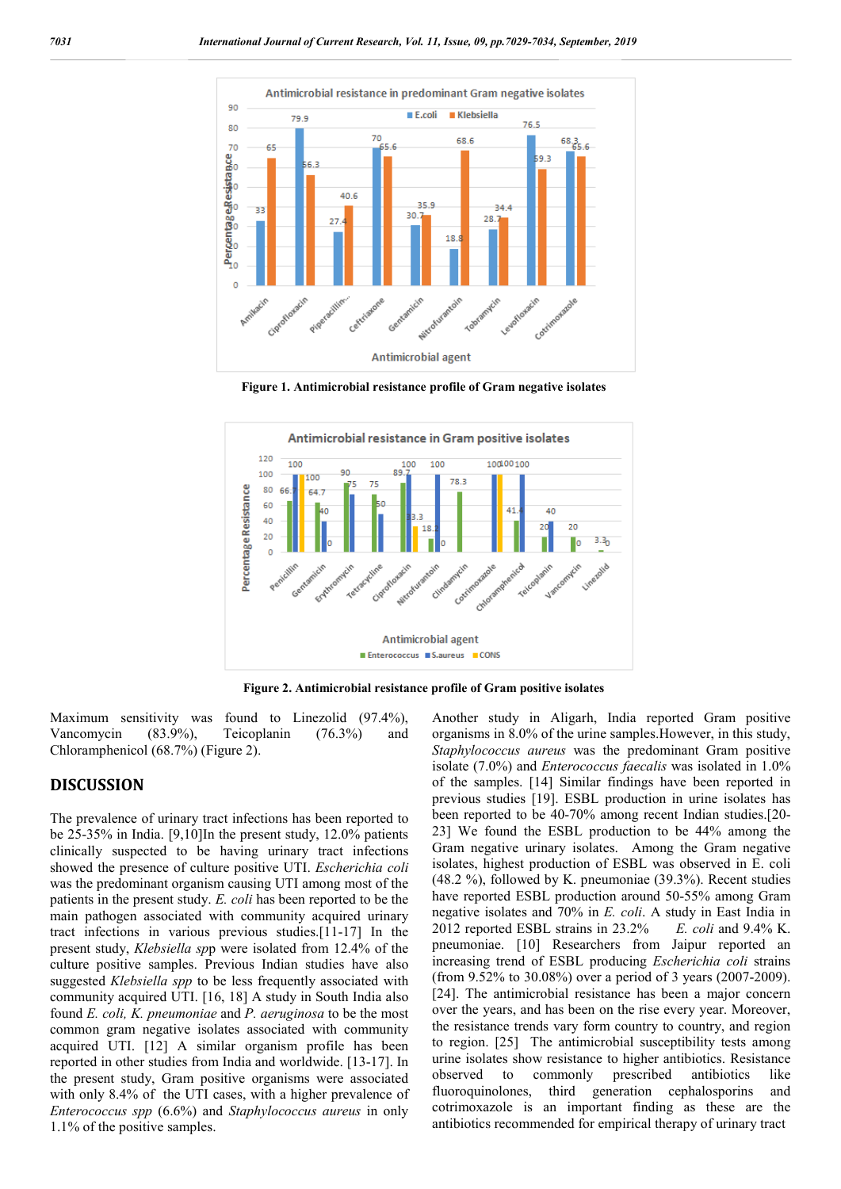

**Figure 1. Antimicrobial resistance profile of Gram negative isolates**



**Figure 2. Antimicrobial resistance profile of Gram positive isolates**

Maximum sensitivity was found to Linezolid (97.4%), Vancomycin (83.9%), Teicoplanin (76.3%) and Chloramphenicol (68.7%) (Figure 2).

### **DISCUSSION**

The prevalence of urinary tract infections has been reported to be 25-35% in India. [9,10]In the present study, 12.0% patients clinically suspected to be having urinary tract infections showed the presence of culture positive UTI. *Escherichia coli* was the predominant organism causing UTI among most of the patients in the present study. *E. coli* has been reported to be the main pathogen associated with community acquired urinary tract infections in various previous studies.[11-17] In the present study, *Klebsiella sp*p were isolated from 12.4% of the culture positive samples. Previous Indian studies have also suggested *Klebsiella spp* to be less frequently associated with community acquired UTI. [16, 18] A study in South India also found *E. coli, K. pneumoniae* and *P. aeruginosa* to be the most common gram negative isolates associated with community acquired UTI. [12] A similar organism profile has been reported in other studies from India and worldwide. [13-17]. In the present study, Gram positive organisms were associated with only 8.4% of the UTI cases, with a higher prevalence of *Enterococcus spp* (6.6%) and *Staphylococcus aureus* in only 1.1% of the positive samples.

Another study in Aligarh, India reported Gram positive organisms in 8.0% of the urine samples.However, in this study, *Staphylococcus aureus* was the predominant Gram positive isolate (7.0%) and *Enterococcus faecalis* was isolated in 1.0% of the samples. [14] Similar findings have been reported in previous studies [19]. ESBL production in urine isolates has been reported to be 40-70% among recent Indian studies.[20- 23] We found the ESBL production to be 44% among the Gram negative urinary isolates. Among the Gram negative isolates, highest production of ESBL was observed in E. coli (48.2 %), followed by K. pneumoniae (39.3%). Recent studies have reported ESBL production around 50-55% among Gram negative isolates and 70% in *E. coli*. A study in East India in 2012 reported ESBL strains in 23.2% *E. coli* and 9.4% K. pneumoniae. [10] Researchers from Jaipur reported an increasing trend of ESBL producing *Escherichia coli* strains (from 9.52% to 30.08%) over a period of 3 years (2007-2009). [24]. The antimicrobial resistance has been a major concern over the years, and has been on the rise every year. Moreover, the resistance trends vary form country to country, and region to region. [25] The antimicrobial susceptibility tests among urine isolates show resistance to higher antibiotics. Resistance observed to commonly prescribed antibiotics like fluoroquinolones, third generation cephalosporins and cotrimoxazole is an important finding as these are the antibiotics recommended for empirical therapy of urinary tract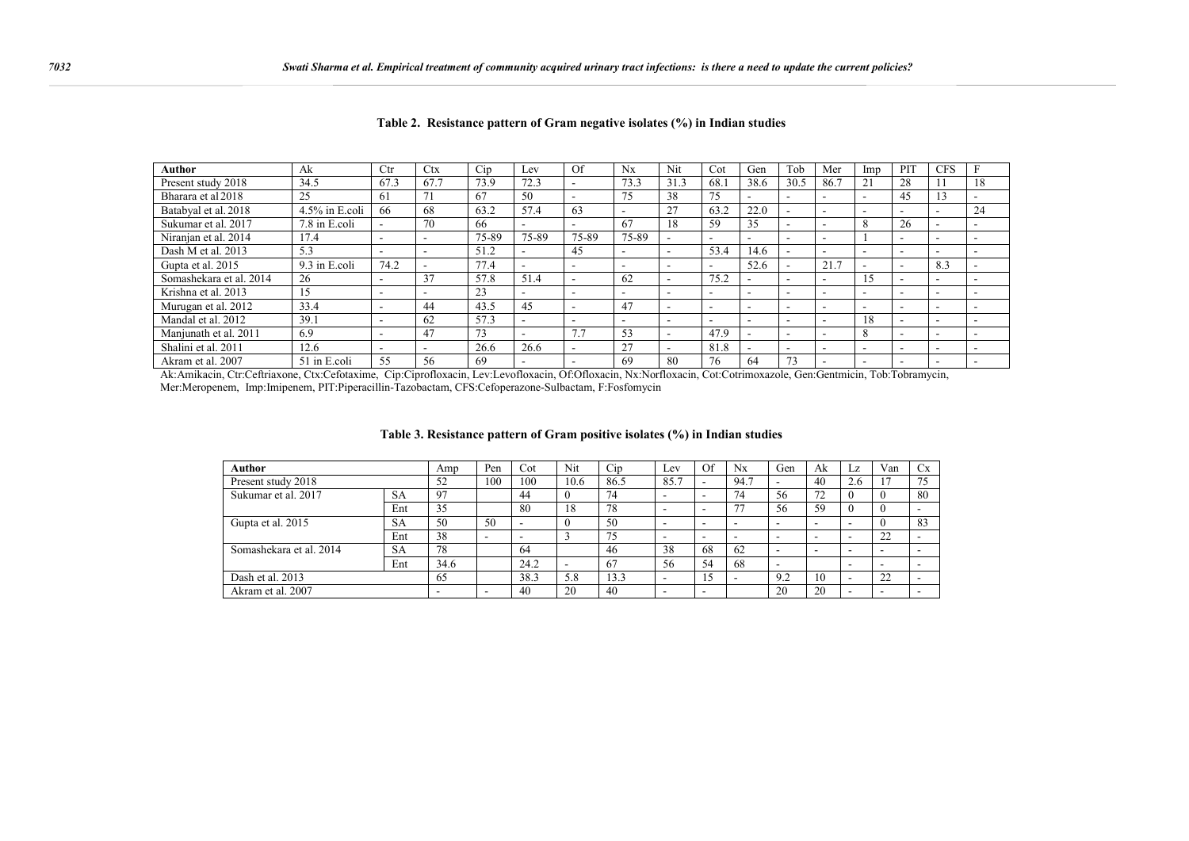| Author                  | Ak                | Ctr  | <b>Ctx</b>               | Cip   | LeV                      | Of                       | $N_{\rm X}$ | Nit  | Cot  | Gen    | Tob                      | Mer  | lmp | PIT    | <b>CFS</b>               |                          |
|-------------------------|-------------------|------|--------------------------|-------|--------------------------|--------------------------|-------------|------|------|--------|--------------------------|------|-----|--------|--------------------------|--------------------------|
| Present study 2018      | 34.5              | 67.3 | 67.7                     | 73.9  | 72.3                     |                          | 73.3        | 31.3 | 68.1 | 38.6   | 30.5                     | 86.7 | 21  | 28     |                          | 18                       |
| Bharara et al 2018      | 25                | 61   |                          | 67    | 50                       |                          | 75          | 38   | 75   |        | $\sim$                   |      | ۰.  | 45     |                          |                          |
| Batabval et al. 2018    | $4.5\%$ in E.coli | 66   | 68                       | 63.2  | 57.4                     | 63                       |             | 27   | 63.2 | 22.0   | $\sim$                   | -    | ۰.  | ٠      | $\sim$                   | 24                       |
| Sukumar et al. 2017     | 7.8 in E.coli     |      | 70                       | 66    | $\overline{\phantom{0}}$ | $\overline{\phantom{0}}$ | 67          | 18   | 59   | 35     | $\overline{\phantom{a}}$ | -    | 8   | 26     | $\overline{\phantom{a}}$ | $\overline{\phantom{a}}$ |
| Niranjan et al. 2014    | 17.4              | -    |                          | 75-89 | 75-89                    | 75-89                    | 75-89       |      | . .  | $\sim$ | $\overline{\phantom{a}}$ | -    |     |        | $\sim$                   | $\overline{\phantom{a}}$ |
| Dash M et al. 2013      | 5.3               |      |                          | 51.2  |                          | 45                       |             |      | 53.4 | 14.6   |                          | ۰.   |     |        | $\overline{\phantom{a}}$ |                          |
| Gupta et al. 2015       | 9.3 in E.coli     | 74.2 | $\overline{\phantom{a}}$ | 77.4  | $\overline{\phantom{0}}$ |                          |             |      |      | 52.6   | $\overline{\phantom{a}}$ | 21.7 |     |        | 8.3                      |                          |
| Somashekara et al. 2014 | 26                |      | 37                       | 57.8  | 51.4                     |                          | 62          |      | 75.2 |        |                          | -    | 15  |        |                          |                          |
| Krishna et al. 2013     | 15                |      |                          | 23    | $\overline{\phantom{0}}$ |                          | -           |      |      |        |                          | -    | -   |        | $\overline{\phantom{a}}$ |                          |
| Murugan et al. 2012     | 33.4              |      | 44                       | 43.5  | 45                       |                          | 47          |      |      |        |                          | -    |     |        |                          |                          |
| Mandal et al. 2012      | 39.1              |      | 62                       | 57.3  | $\overline{\phantom{a}}$ | $\overline{\phantom{0}}$ |             |      |      |        |                          | -    | 18  |        | $\overline{\phantom{a}}$ |                          |
| Manjunath et al. 2011   | 6.9               |      | 47                       | 73    | $\overline{\phantom{a}}$ | $\sim$ $\sim$            | 53          |      | 47.9 |        | $\overline{\phantom{a}}$ | ۰    | 8   |        | $\overline{\phantom{a}}$ |                          |
| Shalini et al. 2011     | 12.6              |      |                          | 26.6  | 26.6                     |                          | 27          |      | 81.8 |        | $\overline{\phantom{a}}$ | -    | ۰.  | $\sim$ | $\sim$                   | $\overline{\phantom{a}}$ |
| Akram et al. 2007       | 51 in E.coli      | 55   | 56                       | 69    |                          |                          | 69          | 80   | 76   | 64     | 73                       |      | ۰.  |        |                          |                          |

|  | Table 2. Resistance pattern of Gram negative isolates (%) in Indian studies |  |  |  |  |
|--|-----------------------------------------------------------------------------|--|--|--|--|
|--|-----------------------------------------------------------------------------|--|--|--|--|

Ak:Amikacin, Ctr:Ceftriaxone, Ctx:Cefotaxime, Cip:Ciprofloxacin, Lev:Levofloxacin, Of:Ofloxacin, Nx:Norfloxacin, Cot:Cotrimoxazole, Gen:Gentmicin, Tob:Tobramycin, Mer:Meropenem, Imp:Imipenem, PIT:Piperacillin-Tazobactam, CFS:Cefoperazone-Sulbactam, F:Fosfomycin

#### **Table 3. Resistance pattern of Gram positive isolates (%) in Indian studies**

| Author                           | Amp       | Pen  | Cot                      | Nit  | Cip  | Lev  | Of                       | $N_{X}$                  | Gen                      | Ak                       | Lz                       | Van      | Cx |    |
|----------------------------------|-----------|------|--------------------------|------|------|------|--------------------------|--------------------------|--------------------------|--------------------------|--------------------------|----------|----|----|
| Present study 2018               | 52        | 100  | 100                      | 10.6 | 86.5 | 85.7 | ۰                        | 94.7                     | $\overline{\phantom{0}}$ | 40                       | 2.6                      |          | 75 |    |
| <b>SA</b><br>Sukumar et al. 2017 |           | 97   |                          | 44   |      | 74   | -                        | $\overline{\phantom{0}}$ | 74                       | 56                       | 72                       | $\theta$ |    | 80 |
|                                  | Ent       | 35   |                          | 80   | 18   | 78   |                          |                          | 77                       | 56                       | 59                       | $\theta$ |    |    |
| Gupta et al. 2015                | <b>SA</b> | 50   | 50                       |      |      | 50   | -                        | $\overline{\phantom{a}}$ | -                        | $\overline{\phantom{0}}$ | $\overline{\phantom{a}}$ | -        |    | 83 |
|                                  | Ent       | 38   | $\overline{\phantom{0}}$ |      |      | 75   | -                        | $\overline{\phantom{0}}$ | -                        | $\overline{\phantom{0}}$ | $\overline{\phantom{a}}$ | -        | 22 |    |
| Somashekara et al. 2014          | <b>SA</b> | 78   |                          | 64   |      | 46   | 38                       | 68                       | 62                       | $\overline{\phantom{0}}$ | -                        | -        |    |    |
|                                  | Ent       | 34.6 |                          | 24.2 |      | 67   | 56                       | 54                       | 68                       | -                        |                          | -        |    |    |
| Dash et al. 2013                 |           | 65   |                          | 38.3 | 5.8  | 13.3 | -                        | 15                       |                          | 9.2                      | 10                       |          | 22 |    |
| Akram et al. 2007                | -         |      | 40                       | 20   | 40   |      | $\overline{\phantom{a}}$ |                          | 20                       | 20                       |                          |          |    |    |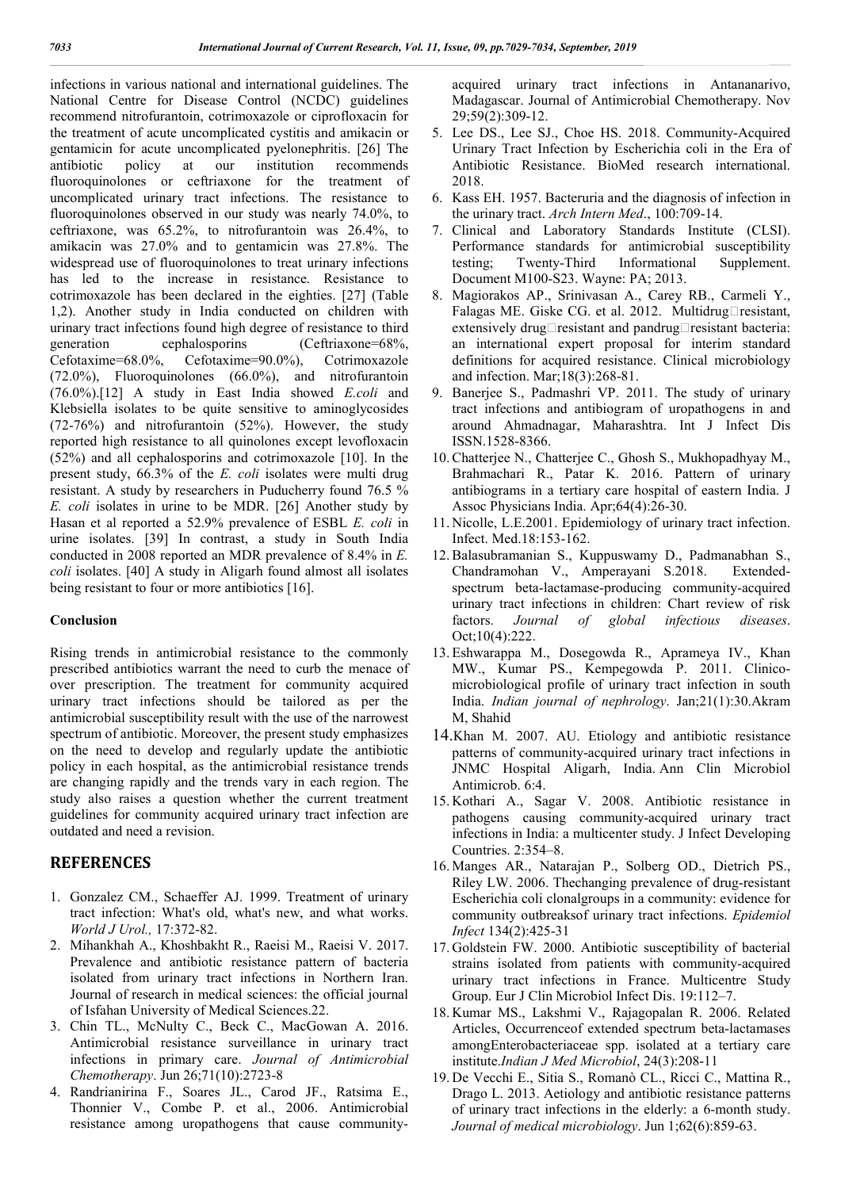infections in various national and international guidelines. The National Centre for Disease Control (NCDC) guidelines recommend nitrofurantoin, cotrimoxazole or ciprofloxacin for the treatment of acute uncomplicated cystitis and amikacin or gentamicin for acute uncomplicated pyelonephritis. [26] The antibiotic policy at our institution recommends fluoroquinolones or ceftriaxone for the treatment of uncomplicated urinary tract infections. The resistance to fluoroquinolones observed in our study was nearly 74.0%, to ceftriaxone, was 65.2%, to nitrofurantoin was 26.4%, to amikacin was 27.0% and to gentamicin was 27.8%. The widespread use of fluoroquinolones to treat urinary infections has led to the increase in resistance. Resistance to cotrimoxazole has been declared in the eighties. [27] (Table 1,2). Another study in India conducted on children with urinary tract infections found high degree of resistance to third generation cephalosporins (Ceftriaxone=68%, Cefotaxime=68.0%, Cefotaxime=90.0%), Cotrimoxazole (72.0%), Fluoroquinolones (66.0%), and nitrofurantoin (76.0%).[12] A study in East India showed *E.coli* and Klebsiella isolates to be quite sensitive to aminoglycosides (72-76%) and nitrofurantoin (52%). However, the study reported high resistance to all quinolones except levofloxacin (52%) and all cephalosporins and cotrimoxazole [10]. In the present study, 66.3% of the *E. coli* isolates were multi drug resistant. A study by researchers in Puducherry found 76.5 % *E. coli* isolates in urine to be MDR. [26] Another study by Hasan et al reported a 52.9% prevalence of ESBL *E. coli* in urine isolates. [39] In contrast, a study in South India conducted in 2008 reported an MDR prevalence of 8.4% in *E. coli* isolates. [40] A study in Aligarh found almost all isolates being resistant to four or more antibiotics [16].

### **Conclusion**

Rising trends in antimicrobial resistance to the commonly prescribed antibiotics warrant the need to curb the menace of over prescription. The treatment for community acquired urinary tract infections should be tailored as per the antimicrobial susceptibility result with the use of the narrowest spectrum of antibiotic. Moreover, the present study emphasizes on the need to develop and regularly update the antibiotic policy in each hospital, as the antimicrobial resistance trends are changing rapidly and the trends vary in each region. The study also raises a question whether the current treatment guidelines for community acquired urinary tract infection are outdated and need a revision.

# **REFERENCES**

- 1. Gonzalez CM., Schaeffer AJ. 1999. Treatment of urinary tract infection: What's old, what's new, and what works. *World J Urol.,* 17:372-82.
- 2. Mihankhah A., Khoshbakht R., Raeisi M., Raeisi V. 2017. Prevalence and antibiotic resistance pattern of bacteria isolated from urinary tract infections in Northern Iran. Journal of research in medical sciences: the official journal of Isfahan University of Medical Sciences.22.
- 3. Chin TL., McNulty C., Beck C., MacGowan A. 2016. Antimicrobial resistance surveillance in urinary tract infections in primary care. *Journal of Antimicrobial Chemotherapy*. Jun 26;71(10):2723-8
- 4. Randrianirina F., Soares JL., Carod JF., Ratsima E., Thonnier V., Combe P. et al., 2006. Antimicrobial resistance among uropathogens that cause community-

acquired urinary tract infections in Antananarivo, Madagascar. Journal of Antimicrobial Chemotherapy. Nov 29;59(2):309-12.

- 5. Lee DS., Lee SJ., Choe HS. 2018. Community-Acquired Urinary Tract Infection by Escherichia coli in the Era of Antibiotic Resistance. BioMed research international. 2018.
- 6. Kass EH. 1957. Bacteruria and the diagnosis of infection in the urinary tract. *Arch Intern Med*., 100:709-14.
- 7. Clinical and Laboratory Standards Institute (CLSI). Performance standards for antimicrobial susceptibility testing; Twenty-Third Informational Supplement. Document M100-S23. Wayne: PA; 2013.
- 8. Magiorakos AP., Srinivasan A., Carey RB., Carmeli Y., Falagas ME. Giske CG. et al. 2012. Multidrug $\square$ resistant, extensively drug $\Box$ resistant and pandrug $\Box$ resistant bacteria: an international expert proposal for interim standard definitions for acquired resistance. Clinical microbiology and infection. Mar;18(3):268-81.
- 9. Banerjee S., Padmashri VP. 2011. The study of urinary tract infections and antibiogram of uropathogens in and around Ahmadnagar, Maharashtra. Int J Infect Dis ISSN.1528-8366.
- 10.Chatterjee N., Chatterjee C., Ghosh S., Mukhopadhyay M., Brahmachari R., Patar K. 2016. Pattern of urinary antibiograms in a tertiary care hospital of eastern India. J Assoc Physicians India. Apr;64(4):26-30.
- 11. Nicolle, L.E.2001. Epidemiology of urinary tract infection. Infect. Med.18:153-162.
- 12.Balasubramanian S., Kuppuswamy D., Padmanabhan S., Chandramohan V., Amperayani S.2018. Extendedspectrum beta-lactamase-producing community-acquired urinary tract infections in children: Chart review of risk factors. *Journal of global infectious diseases*. Oct;10(4):222.
- 13. Eshwarappa M., Dosegowda R., Aprameya IV., Khan MW., Kumar PS., Kempegowda P. 2011. Clinicomicrobiological profile of urinary tract infection in south India. *Indian journal of nephrology*. Jan;21(1):30.Akram M, Shahid
- 14.Khan M. 2007. AU. Etiology and antibiotic resistance patterns of community-acquired urinary tract infections in JNMC Hospital Aligarh, India. Ann Clin Microbiol Antimicrob. 6:4.
- 15. Kothari A., Sagar V. 2008. Antibiotic resistance in pathogens causing community-acquired urinary tract infections in India: a multicenter study. J Infect Developing Countries. 2:354–8.
- 16. Manges AR., Natarajan P., Solberg OD., Dietrich PS., Riley LW. 2006. Thechanging prevalence of drug-resistant Escherichia coli clonalgroups in a community: evidence for community outbreaksof urinary tract infections. *Epidemiol Infect* 134(2):425-31
- 17. Goldstein FW. 2000. Antibiotic susceptibility of bacterial strains isolated from patients with community-acquired urinary tract infections in France. Multicentre Study Group. Eur J Clin Microbiol Infect Dis. 19:112–7.
- 18. Kumar MS., Lakshmi V., Rajagopalan R. 2006. Related Articles, Occurrenceof extended spectrum beta-lactamases amongEnterobacteriaceae spp. isolated at a tertiary care institute.*Indian J Med Microbiol*, 24(3):208-11
- 19. De Vecchi E., Sitia S., Romanò CL., Ricci C., Mattina R., Drago L. 2013. Aetiology and antibiotic resistance patterns of urinary tract infections in the elderly: a 6-month study. *Journal of medical microbiology*. Jun 1;62(6):859-63.